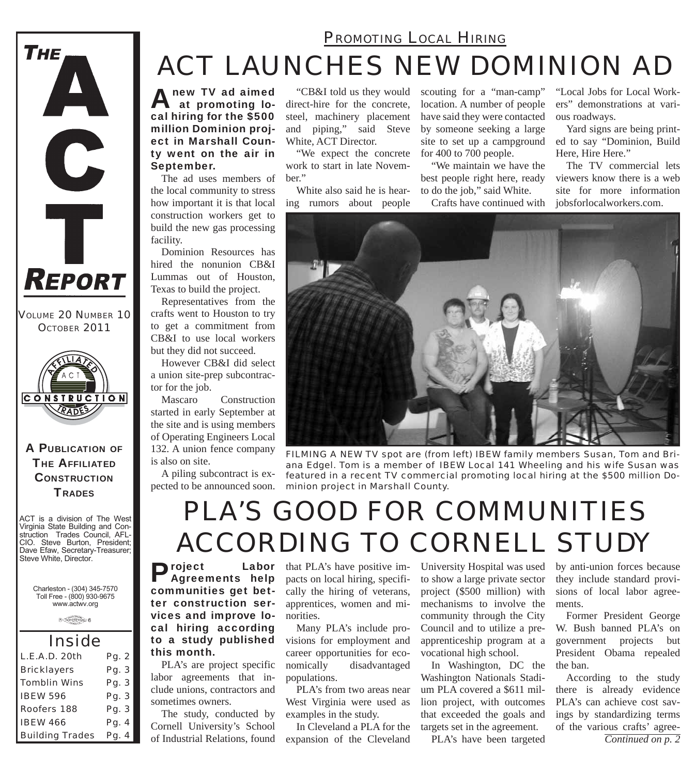#### *PROMOTING LOCAL HIRING*

## *ACT LAUNCHES NEW DOMINION AD*

A new TV ad aimed at promoting local hiring for the \$500 million Dominion project in Marshall County went on the air in September.

The ad uses members of the local community to stress how important it is that local construction workers get to build the new gas processing facility.

Dominion Resources has hired the nonunion CB&I Lummas out of Houston, Texas to build the project.

Representatives from the crafts went to Houston to try to get a commitment from CB&I to use local workers but they did not succeed.

However CB&I did select a union site-prep subcontractor for the job.

Mascaro Construction started in early September at the site and is using members of Operating Engineers Local 132. A union fence company is also on site.

A piling subcontract is expected to be announced soon.

"CB&I told us they would direct-hire for the concrete, steel, machinery placement and piping," said Steve White, ACT Director.

"We expect the concrete work to start in late November."

White also said he is hearing rumors about people

scouting for a "man-camp" location. A number of people have said they were contacted by someone seeking a large site to set up a campground for 400 to 700 people.

"We maintain we have the best people right here, ready to do the job," said White.

Crafts have continued with

"Local Jobs for Local Workers" demonstrations at various roadways.

Yard signs are being printed to say "Dominion, Build Here, Hire Here."

The TV commercial lets viewers know there is a web site for more information jobsforlocalworkers.com.



*FILMING A NEW TV spot are (from left) IBEW family members Susan, Tom and Briana Edgel. Tom is a member of IBEW Local 141 Wheeling and his wife Susan was featured in a recent TV commercial promoting local hiring at the \$500 million Dominion project in Marshall County.*

#### *PLA'S GOOD FOR COMMUNITIES ACCORDING TO CORNELL STUDY*

Project Labor Agreements help communities get better construction services and improve local hiring according to a study published this month.

PLA's are project specific labor agreements that include unions, contractors and sometimes owners.

The study, conducted by Cornell University's School of Industrial Relations, found

**Labor** that PLA's have positive impacts on local hiring, specifically the hiring of veterans, apprentices, women and minorities.

> Many PLA's include provisions for employment and career opportunities for economically disadvantaged populations.

> PLA's from two areas near West Virginia were used as examples in the study.

In Cleveland a PLA for the expansion of the Cleveland

University Hospital was used to show a large private sector project (\$500 million) with mechanisms to involve the community through the City Council and to utilize a preapprenticeship program at a vocational high school.

In Washington, DC the Washington Nationals Stadium PLA covered a \$611 million project, with outcomes that exceeded the goals and targets set in the agreement.

PLA's have been targeted

by anti-union forces because they include standard provisions of local labor agreements.

Former President George W. Bush banned PLA's on government projects but President Obama repealed the ban.

According to the study there is already evidence PLA's can achieve cost savings by standardizing terms of the various crafts' agree-

*Continued on p. 2*

**CONSTRUCTION** RADES

*VOLUME 20 NUMBER 10 OCTOBER 2011*

 $R$ EPORT

THE.

A

#### A PUBLICATION OF **THE AFFILIATED CONSTRUCTION TRADES**

ACT is a division of The West Virginia State Building and Construction Trades Council, AFL-CIO. Steve Burton, President; Dave Efaw, Secretary-Treasurer; Steve White, Director.

> Charleston - (304) 345-7570 Toll Free - (800) 930-9675 www.actwv.org

> > $\widehat{A}$

*Inside L.E.A.D. 20th Pg. 2 Bricklayers Pg. 3 Tomblin Wins Pg. 3 IBEW 596 Pg. 3 Roofers 188 Pg. 3 IBEW 466 Pg. 4 Building Trades Pg. 4*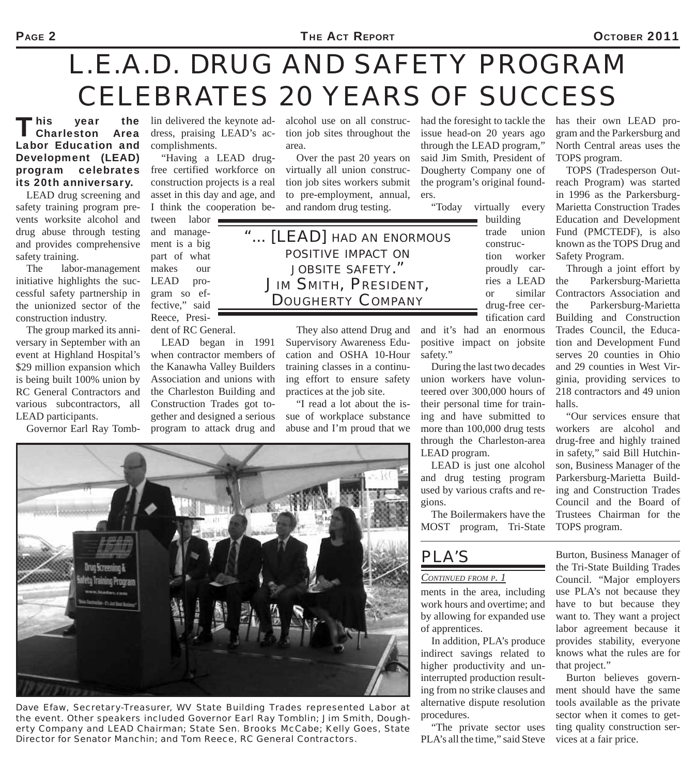# *L.E.A.D. DRUG AND SAFETY PROGRAM CELEBRATES 20 YEARS OF SUCCESS*

This year the<br>
Charleston Area Labor Education and Development (LEAD) program celebrates its 20th anniversary.

LEAD drug screening and safety training program prevents worksite alcohol and drug abuse through testing and provides comprehensive safety training.

The labor-management initiative highlights the successful safety partnership in the unionized sector of the construction industry.

The group marked its anniversary in September with an event at Highland Hospital's \$29 million expansion which is being built 100% union by RC General Contractors and various subcontractors, all

lin delivered the keynote address, praising LEAD's accomplishments.

"Having a LEAD drugfree certified workforce on construction projects is a real asset in this day and age, and I think the cooperation be-

tween labor and management is a big part of what makes our LEAD program so effective," said Reece, President of RC General.

LEAD began in 1991 when contractor members of the Kanawha Valley Builders Association and unions with the Charleston Building and Construction Trades got toalcohol use on all construction job sites throughout the area.

Over the past 20 years on virtually all union construction job sites workers submit to pre-employment, annual, and random drug testing.

*"... [LEAD] HAD AN ENORMOUS POSITIVE IMPACT ON JOBSITE SAFETY." JIM SMITH, PRESIDENT, DOUGHERTY COMPANY*

> They also attend Drug and Supervisory Awareness Education and OSHA 10-Hour training classes in a continuing effort to ensure safety practices at the job site.

"I read a lot about the issue of workplace substance abuse and I'm proud that we had the foresight to tackle the issue head-on 20 years ago through the LEAD program," said Jim Smith, President of Dougherty Company one of the program's original founders.

"Today virtually every

building trade union construction worker proudly carries a LEAD or similar drug-free certification card

and it's had an enormous positive impact on jobsite safety."

During the last two decades union workers have volunteered over 300,000 hours of their personal time for training and have submitted to more than 100,000 drug tests through the Charleston-area LEAD program.

LEAD is just one alcohol and drug testing program used by various crafts and regions.

The Boilermakers have the MOST program, Tri-State has their own LEAD program and the Parkersburg and North Central areas uses the TOPS program.

TOPS (Tradesperson Outreach Program) was started in 1996 as the Parkersburg-Marietta Construction Trades Education and Development Fund (PMCTEDF), is also known as the TOPS Drug and Safety Program.

Through a joint effort by the Parkersburg-Marietta Contractors Association and the Parkersburg-Marietta Building and Construction Trades Council, the Education and Development Fund serves 20 counties in Ohio and 29 counties in West Virginia, providing services to 218 contractors and 49 union halls.

"Our services ensure that workers are alcohol and drug-free and highly trained in safety," said Bill Hutchinson, Business Manager of the Parkersburg-Marietta Building and Construction Trades Council and the Board of Trustees Chairman for the TOPS program.

*PLA'S* 

#### *CONTINUED FROM P. 1*

ments in the area, including work hours and overtime; and by allowing for expanded use of apprentices.

In addition, PLA's produce indirect savings related to higher productivity and uninterrupted production resulting from no strike clauses and alternative dispute resolution procedures.

"The private sector uses PLA's all the time," said Steve

Burton, Business Manager of the Tri-State Building Trades Council. "Major employers use PLA's not because they have to but because they want to. They want a project labor agreement because it provides stability, everyone knows what the rules are for that project."

Burton believes government should have the same tools available as the private sector when it comes to getting quality construction services at a fair price.

*Dave Efaw, Secretary-Treasurer, WV State Building Trades represented Labor at the event. Other speakers included Governor Earl Ray Tomblin; Jim Smith, Dougherty Company and LEAD Chairman; State Sen. Brooks McCabe; Kelly Goes, State Director for Senator Manchin; and Tom Reece, RC General Contractors.*

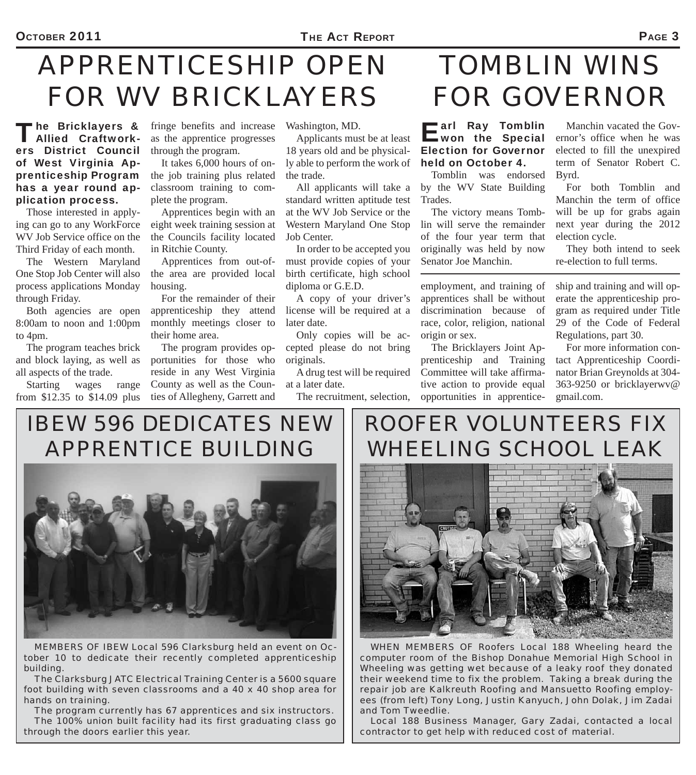# *APPRENTICESHIP OPEN FOR WV BRICKLAYERS*

The Bricklayers & Allied Craftworkers District Council of West Virginia Apprenticeship Program has a year round application process.

Those interested in applying can go to any WorkForce WV Job Service office on the Third Friday of each month.

The Western Maryland One Stop Job Center will also process applications Monday through Friday.

Both agencies are open 8:00am to noon and 1:00pm to 4pm.

The program teaches brick and block laying, as well as all aspects of the trade.

Starting wages range from \$12.35 to \$14.09 plus

fringe benefits and increase as the apprentice progresses through the program.

It takes 6,000 hours of onthe job training plus related classroom training to complete the program.

Apprentices begin with an eight week training session at the Councils facility located in Ritchie County.

Apprentices from out-ofthe area are provided local housing.

For the remainder of their apprenticeship they attend monthly meetings closer to their home area.

The program provides opportunities for those who reside in any West Virginia County as well as the Counties of Allegheny, Garrett and

Washington, MD.

Applicants must be at least 18 years old and be physically able to perform the work of the trade.

All applicants will take a standard written aptitude test at the WV Job Service or the Western Maryland One Stop Job Center.

In order to be accepted you must provide copies of your birth certificate, high school diploma or G.E.D.

A copy of your driver's license will be required at a later date.

Only copies will be accepted please do not bring originals.

A drug test will be required at a later date.

The recruitment, selection,

# *TOMBLIN WINS FOR GOVERNOR*

#### Earl Ray Tomblin<br>won the Special Election for Governor held on October 4.

Tomblin was endorsed by the WV State Building Trades.

The victory means Tomblin will serve the remainder of the four year term that originally was held by now Senator Joe Manchin.

employment, and training of apprentices shall be without discrimination because of race, color, religion, national origin or sex.

The Bricklayers Joint Apprenticeship and Training Committee will take affirmative action to provide equal opportunities in apprentice-

Manchin vacated the Governor's office when he was elected to fill the unexpired term of Senator Robert C. Byrd.

For both Tomblin and Manchin the term of office will be up for grabs again next year during the 2012 election cycle.

They both intend to seek re-election to full terms.

ship and training and will operate the apprenticeship program as required under Title 29 of the Code of Federal Regulations, part 30.

For more information contact Apprenticeship Coordinator Brian Greynolds at 304- 363-9250 or bricklayerwv@ gmail.com.

*IBEW 596 DEDICATES NEW APPRENTICE BUILDING*



*MEMBERS OF IBEW Local 596 Clarksburg held an event on October 10 to dedicate their recently completed apprenticeship building.*

*The Clarksburg JATC Electrical Training Center is a 5600 square foot building with seven classrooms and a 40 x 40 shop area for hands on training.*

*The program currently has 67 apprentices and six instructors. The 100% union built facility had its first graduating class go through the doors earlier this year.*

#### *ROOFER VOLUNTEERS FIX WHEELING SCHOOL LEAK*



*WHEN MEMBERS OF Roofers Local 188 Wheeling heard the computer room of the Bishop Donahue Memorial High School in Wheeling was getting wet because of a leaky roof they donated their weekend time to fix the problem. Taking a break during the repair job are Kalkreuth Roofing and Mansuetto Roofing employees (from left) Tony Long, Justin Kanyuch, John Dolak, Jim Zadai and Tom Tweedlie.*

*Local 188 Business Manager, Gary Zadai, contacted a local contractor to get help with reduced cost of material.*